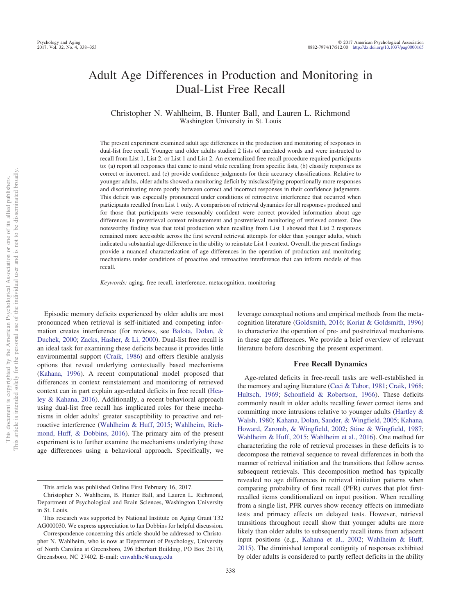# Adult Age Differences in Production and Monitoring in Dual-List Free Recall

Christopher N. Wahlheim, B. Hunter Ball, and Lauren L. Richmond Washington University in St. Louis

The present experiment examined adult age differences in the production and monitoring of responses in dual-list free recall. Younger and older adults studied 2 lists of unrelated words and were instructed to recall from List 1, List 2, or List 1 and List 2. An externalized free recall procedure required participants to: (a) report all responses that came to mind while recalling from specific lists, (b) classify responses as correct or incorrect, and (c) provide confidence judgments for their accuracy classifications. Relative to younger adults, older adults showed a monitoring deficit by misclassifying proportionally more responses and discriminating more poorly between correct and incorrect responses in their confidence judgments. This deficit was especially pronounced under conditions of retroactive interference that occurred when participants recalled from List 1 only. A comparison of retrieval dynamics for all responses produced and for those that participants were reasonably confident were correct provided information about age differences in preretrieval context reinstatement and postretrieval monitoring of retrieved context. One noteworthy finding was that total production when recalling from List 1 showed that List 2 responses remained more accessible across the first several retrieval attempts for older than younger adults, which indicated a substantial age difference in the ability to reinstate List 1 context. Overall, the present findings provide a nuanced characterization of age differences in the operation of production and monitoring mechanisms under conditions of proactive and retroactive interference that can inform models of free recall.

*Keywords:* aging, free recall, interference, metacognition, monitoring

Episodic memory deficits experienced by older adults are most pronounced when retrieval is self-initiated and competing information creates interference (for reviews, see [Balota, Dolan, &](#page-14-0) [Duchek, 2000;](#page-14-0) [Zacks, Hasher, & Li, 2000\)](#page-15-0). Dual-list free recall is an ideal task for examining these deficits because it provides little environmental support [\(Craik, 1986\)](#page-14-1) and offers flexible analysis options that reveal underlying contextually based mechanisms [\(Kahana, 1996\)](#page-15-1). A recent computational model proposed that differences in context reinstatement and monitoring of retrieved context can in part explain age-related deficits in free recall [\(Hea](#page-14-2)[ley & Kahana, 2016\)](#page-14-2). Additionally, a recent behavioral approach using dual-list free recall has implicated roles for these mechanisms in older adults' greater susceptibility to proactive and retroactive interference [\(Wahlheim & Huff, 2015;](#page-15-2) [Wahlheim, Rich](#page-15-3)[mond, Huff, & Dobbins, 2016\)](#page-15-3). The primary aim of the present experiment is to further examine the mechanisms underlying these age differences using a behavioral approach. Specifically, we leverage conceptual notions and empirical methods from the metacognition literature [\(Goldsmith, 2016;](#page-14-3) [Koriat & Goldsmith, 1996\)](#page-15-4) to characterize the operation of pre- and postretrieval mechanisms in these age differences. We provide a brief overview of relevant literature before describing the present experiment.

#### **Free Recall Dynamics**

Age-related deficits in free-recall tasks are well-established in the memory and aging literature [\(Ceci & Tabor, 1981;](#page-14-4) [Craik, 1968;](#page-14-5) [Hultsch, 1969;](#page-15-5) [Schonfield & Robertson, 1966\)](#page-15-6). These deficits commonly result in older adults recalling fewer correct items and committing more intrusions relative to younger adults [\(Hartley &](#page-14-6) [Walsh, 1980;](#page-14-6) [Kahana, Dolan, Sauder, & Wingfield, 2005;](#page-15-7) [Kahana,](#page-15-8) [Howard, Zaromb, & Wingfield, 2002;](#page-15-8) [Stine & Wingfield, 1987;](#page-15-9) [Wahlheim & Huff, 2015;](#page-15-2) [Wahlheim et al., 2016\)](#page-15-3). One method for characterizing the role of retrieval processes in these deficits is to decompose the retrieval sequence to reveal differences in both the manner of retrieval initiation and the transitions that follow across subsequent retrievals. This decomposition method has typically revealed no age differences in retrieval initiation patterns when comparing probability of first recall (PFR) curves that plot firstrecalled items conditionalized on input position. When recalling from a single list, PFR curves show recency effects on immediate tests and primacy effects on delayed tests. However, retrieval transitions throughout recall show that younger adults are more likely than older adults to subsequently recall items from adjacent input positions (e.g., [Kahana et al., 2002;](#page-15-8) [Wahlheim & Huff,](#page-15-2) [2015\)](#page-15-2). The diminished temporal contiguity of responses exhibited by older adults is considered to partly reflect deficits in the ability

This article was published Online First February 16, 2017.

Christopher N. Wahlheim, B. Hunter Ball, and Lauren L. Richmond, Department of Psychological and Brain Sciences, Washington University in St. Louis.

This research was supported by National Institute on Aging Grant T32 AG000030. We express appreciation to Ian Dobbins for helpful discussion.

Correspondence concerning this article should be addressed to Christopher N. Wahlheim, who is now at Department of Psychology, University of North Carolina at Greensboro, 296 Eberhart Building, PO Box 26170, Greensboro, NC 27402. E-mail: [cnwahlhe@uncg.edu](mailto:cnwahlhe@uncg.edu)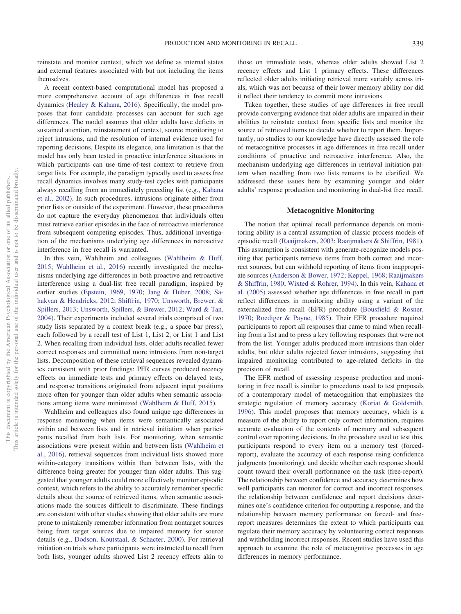reinstate and monitor context, which we define as internal states and external features associated with but not including the items themselves.

A recent context-based computational model has proposed a more comprehensive account of age differences in free recall dynamics [\(Healey & Kahana, 2016\)](#page-14-2). Specifically, the model proposes that four candidate processes can account for such age differences. The model assumes that older adults have deficits in sustained attention, reinstatement of context, source monitoring to reject intrusions, and the resolution of internal evidence used for reporting decisions. Despite its elegance, one limitation is that the model has only been tested in proactive interference situations in which participants can use time-of-test context to retrieve from target lists. For example, the paradigm typically used to assess free recall dynamics involves many study-test cycles with participants always recalling from an immediately preceding list (e.g., [Kahana](#page-15-8) [et al., 2002\)](#page-15-8). In such procedures, intrusions originate either from prior lists or outside of the experiment. However, these procedures do not capture the everyday phenomenon that individuals often must retrieve earlier episodes in the face of retroactive interference from subsequent competing episodes. Thus, additional investigation of the mechanisms underlying age differences in retroactive interference in free recall is warranted.

In this vein, Wahlheim and colleagues [\(Wahlheim & Huff,](#page-15-2) [2015;](#page-15-2) [Wahlheim et al., 2016\)](#page-15-3) recently investigated the mechanisms underlying age differences in both proactive and retroactive interference using a dual-list free recall paradigm, inspired by earlier studies [\(Epstein, 1969,](#page-14-7) [1970;](#page-14-8) [Jang & Huber, 2008;](#page-15-10) [Sa](#page-15-11)[hakyan & Hendricks, 2012;](#page-15-11) [Shiffrin, 1970;](#page-15-12) [Unsworth, Brewer, &](#page-15-13) [Spillers, 2013;](#page-15-13) [Unsworth, Spillers, & Brewer, 2012;](#page-15-14) [Ward & Tan,](#page-15-15) [2004\)](#page-15-15). Their experiments included several trials comprised of two study lists separated by a context break (e.g., a space bar press), each followed by a recall test of List 1, List 2, or List 1 and List 2. When recalling from individual lists, older adults recalled fewer correct responses and committed more intrusions from non-target lists. Decomposition of these retrieval sequences revealed dynamics consistent with prior findings: PFR curves produced recency effects on immediate tests and primacy effects on delayed tests, and response transitions originated from adjacent input positions more often for younger than older adults when semantic associations among items were minimized [\(Wahlheim & Huff, 2015\)](#page-15-2).

Wahlheim and colleagues also found unique age differences in response monitoring when items were semantically associated within and between lists and in retrieval initiation when participants recalled from both lists. For monitoring, when semantic associations were present within and between lists [\(Wahlheim et](#page-15-3) [al., 2016\)](#page-15-3), retrieval sequences from individual lists showed more within-category transitions within than between lists, with the difference being greater for younger than older adults. This suggested that younger adults could more effectively monitor episodic context, which refers to the ability to accurately remember specific details about the source of retrieved items, when semantic associations made the sources difficult to discriminate. These findings are consistent with other studies showing that older adults are more prone to mistakenly remember information from nontarget sources being from target sources due to impaired memory for source details (e.g., [Dodson, Koutstaal, & Schacter, 2000\)](#page-14-9). For retrieval initiation on trials where participants were instructed to recall from both lists, younger adults showed List 2 recency effects akin to

those on immediate tests, whereas older adults showed List 2 recency effects and List 1 primacy effects. These differences reflected older adults initiating retrieval more variably across trials, which was not because of their lower memory ability nor did it reflect their tendency to commit more intrusions.

Taken together, these studies of age differences in free recall provide converging evidence that older adults are impaired in their abilities to reinstate context from specific lists and monitor the source of retrieved items to decide whether to report them. Importantly, no studies to our knowledge have directly assessed the role of metacognitive processes in age differences in free recall under conditions of proactive and retroactive interference. Also, the mechanism underlying age differences in retrieval initiation pattern when recalling from two lists remains to be clarified. We addressed these issues here by examining younger and older adults' response production and monitoring in dual-list free recall.

# **Metacognitive Monitoring**

The notion that optimal recall performance depends on monitoring ability is a central assumption of classic process models of episodic recall [\(Raaijmakers, 2003;](#page-15-16) [Raaijmakers & Shiffrin, 1981\)](#page-15-17). This assumption is consistent with generate-recognize models positing that participants retrieve items from both correct and incorrect sources, but can withhold reporting of items from inappropriate sources [\(Anderson & Bower, 1972;](#page-14-10) [Keppel, 1968;](#page-15-18) [Raaijmakers](#page-15-19) [& Shiffrin, 1980;](#page-15-19) [Wixted & Rohrer, 1994\)](#page-15-20). In this vein, [Kahana et](#page-15-7) [al. \(2005\)](#page-15-7) assessed whether age differences in free recall in part reflect differences in monitoring ability using a variant of the externalized free recall (EFR) procedure [\(Bousfield & Rosner,](#page-14-11) [1970;](#page-14-11) [Roediger & Payne, 1985\)](#page-15-21). Their EFR procedure required participants to report all responses that came to mind when recalling from a list and to press a key following responses that were not from the list. Younger adults produced more intrusions than older adults, but older adults rejected fewer intrusions, suggesting that impaired monitoring contributed to age-related deficits in the precision of recall.

The EFR method of assessing response production and monitoring in free recall is similar to procedures used to test proposals of a contemporary model of metacognition that emphasizes the strategic regulation of memory accuracy [\(Koriat & Goldsmith,](#page-15-4) [1996\)](#page-15-4). This model proposes that memory accuracy, which is a measure of the ability to report only correct information, requires accurate evaluation of the contents of memory and subsequent control over reporting decisions. In the procedure used to test this, participants respond to every item on a memory test (forcedreport), evaluate the accuracy of each response using confidence judgments (monitoring), and decide whether each response should count toward their overall performance on the task (free-report). The relationship between confidence and accuracy determines how well participants can monitor for correct and incorrect responses, the relationship between confidence and report decisions determines one's confidence criterion for outputting a response, and the relationship between memory performance on forced- and freereport measures determines the extent to which participants can regulate their memory accuracy by volunteering correct responses and withholding incorrect responses. Recent studies have used this approach to examine the role of metacognitive processes in age differences in memory performance.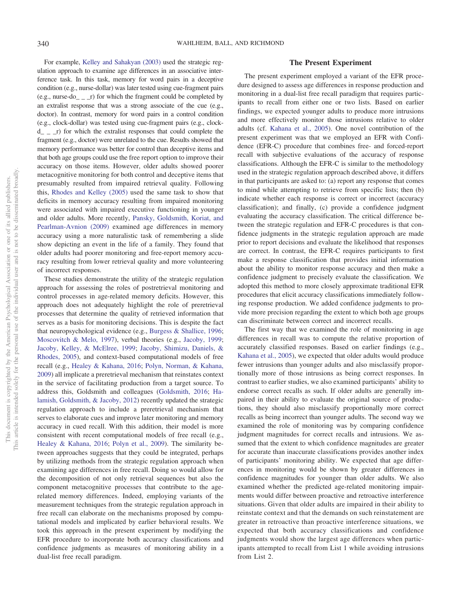For example, [Kelley and Sahakyan \(2003\)](#page-15-22) used the strategic regulation approach to examine age differences in an associative interference task. In this task, memory for word pairs in a deceptive condition (e.g., nurse-dollar) was later tested using cue-fragment pairs (e.g., nurse-do<sub> $-$ </sub>  $r$ ) for which the fragment could be completed by an extralist response that was a strong associate of the cue (e.g., doctor). In contrast, memory for word pairs in a control condition (e.g., clock-dollar) was tested using cue-fragment pairs (e.g., clock $d_{-}$   $_{-}$  r) for which the extralist responses that could complete the fragment (e.g., doctor) were unrelated to the cue. Results showed that memory performance was better for control than deceptive items and that both age groups could use the free report option to improve their accuracy on those items. However, older adults showed poorer metacognitive monitoring for both control and deceptive items that presumably resulted from impaired retrieval quality. Following this, [Rhodes and Kelley \(2005\)](#page-15-23) used the same task to show that deficits in memory accuracy resulting from impaired monitoring were associated with impaired executive functioning in younger and older adults. More recently, [Pansky, Goldsmith, Koriat, and](#page-15-24) [Pearlman-Avnion \(2009\)](#page-15-24) examined age differences in memory accuracy using a more naturalistic task of remembering a slide show depicting an event in the life of a family. They found that older adults had poorer monitoring and free-report memory accuracy resulting from lower retrieval quality and more volunteering of incorrect responses.

These studies demonstrate the utility of the strategic regulation approach for assessing the roles of postretrieval monitoring and control processes in age-related memory deficits. However, this approach does not adequately highlight the role of preretrieval processes that determine the quality of retrieved information that serves as a basis for monitoring decisions. This is despite the fact that neuropsychological evidence (e.g., [Burgess & Shallice, 1996;](#page-14-12) [Moscovitch & Melo, 1997\)](#page-15-25), verbal theories (e.g., [Jacoby, 1999;](#page-15-26) [Jacoby, Kelley, & McElree, 1999;](#page-15-27) [Jacoby, Shimizu, Daniels, &](#page-15-28) [Rhodes, 2005\)](#page-15-28), and context-based computational models of free recall (e.g., [Healey & Kahana, 2016;](#page-14-2) [Polyn, Norman, & Kahana,](#page-15-29) [2009\)](#page-15-29) all implicate a preretrieval mechanism that reinstates context in the service of facilitating production from a target source. To address this, Goldsmith and colleagues [\(Goldsmith, 2016;](#page-14-3) [Ha](#page-14-13)[lamish, Goldsmith, & Jacoby, 2012\)](#page-14-13) recently updated the strategic regulation approach to include a preretrieval mechanism that serves to elaborate cues and improve later monitoring and memory accuracy in cued recall. With this addition, their model is more consistent with recent computational models of free recall (e.g., [Healey & Kahana, 2016;](#page-14-2) [Polyn et al., 2009\)](#page-15-29). The similarity between approaches suggests that they could be integrated, perhaps by utilizing methods from the strategic regulation approach when examining age differences in free recall. Doing so would allow for the decomposition of not only retrieval sequences but also the component metacognitive processes that contribute to the agerelated memory differences. Indeed, employing variants of the measurement techniques from the strategic regulation approach in free recall can elaborate on the mechanisms proposed by computational models and implicated by earlier behavioral results. We took this approach in the present experiment by modifying the EFR procedure to incorporate both accuracy classifications and confidence judgments as measures of monitoring ability in a dual-list free recall paradigm.

# **The Present Experiment**

The present experiment employed a variant of the EFR procedure designed to assess age differences in response production and monitoring in a dual-list free recall paradigm that requires participants to recall from either one or two lists. Based on earlier findings, we expected younger adults to produce more intrusions and more effectively monitor those intrusions relative to older adults (cf. [Kahana et al., 2005\)](#page-15-7). One novel contribution of the present experiment was that we employed an EFR with Confidence (EFR-C) procedure that combines free- and forced-report recall with subjective evaluations of the accuracy of response classifications. Although the EFR-C is similar to the methodology used in the strategic regulation approach described above, it differs in that participants are asked to: (a) report any response that comes to mind while attempting to retrieve from specific lists; then (b) indicate whether each response is correct or incorrect (accuracy classification); and finally, (c) provide a confidence judgment evaluating the accuracy classification. The critical difference between the strategic regulation and EFR-C procedures is that confidence judgments in the strategic regulation approach are made prior to report decisions and evaluate the likelihood that responses are correct. In contrast, the EFR-C requires participants to first make a response classification that provides initial information about the ability to monitor response accuracy and then make a confidence judgment to precisely evaluate the classification. We adopted this method to more closely approximate traditional EFR procedures that elicit accuracy classifications immediately following response production. We added confidence judgments to provide more precision regarding the extent to which both age groups can discriminate between correct and incorrect recalls.

The first way that we examined the role of monitoring in age differences in recall was to compute the relative proportion of accurately classified responses. Based on earlier findings (e.g., [Kahana et al., 2005\)](#page-15-7), we expected that older adults would produce fewer intrusions than younger adults and also misclassify proportionally more of those intrusions as being correct responses. In contrast to earlier studies, we also examined participants' ability to endorse correct recalls as such. If older adults are generally impaired in their ability to evaluate the original source of productions, they should also misclassify proportionally more correct recalls as being incorrect than younger adults. The second way we examined the role of monitoring was by comparing confidence judgment magnitudes for correct recalls and intrusions. We assumed that the extent to which confidence magnitudes are greater for accurate than inaccurate classifications provides another index of participants' monitoring ability. We expected that age differences in monitoring would be shown by greater differences in confidence magnitudes for younger than older adults. We also examined whether the predicted age-related monitoring impairments would differ between proactive and retroactive interference situations. Given that older adults are impaired in their ability to reinstate context and that the demands on such reinstatement are greater in retroactive than proactive interference situations, we expected that both accuracy classifications and confidence judgments would show the largest age differences when participants attempted to recall from List 1 while avoiding intrusions from List 2.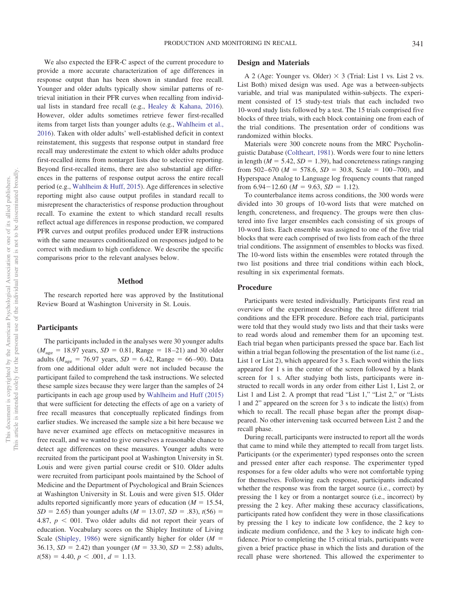We also expected the EFR-C aspect of the current procedure to provide a more accurate characterization of age differences in response output than has been shown in standard free recall. Younger and older adults typically show similar patterns of retrieval initiation in their PFR curves when recalling from individual lists in standard free recall (e.g., [Healey & Kahana, 2016\)](#page-14-2). However, older adults sometimes retrieve fewer first-recalled items from target lists than younger adults (e.g., [Wahlheim et al.,](#page-15-3) [2016\)](#page-15-3). Taken with older adults' well-established deficit in context reinstatement, this suggests that response output in standard free recall may underestimate the extent to which older adults produce first-recalled items from nontarget lists due to selective reporting. Beyond first-recalled items, there are also substantial age differences in the patterns of response output across the entire recall period (e.g., [Wahlheim & Huff, 2015\)](#page-15-2). Age differences in selective reporting might also cause output profiles in standard recall to misrepresent the characteristics of response production throughout recall. To examine the extent to which standard recall results reflect actual age differences in response production, we compared PFR curves and output profiles produced under EFR instructions with the same measures conditionalized on responses judged to be correct with medium to high confidence. We describe the specific comparisons prior to the relevant analyses below.

## **Method**

The research reported here was approved by the Institutional Review Board at Washington University in St. Louis.

# **Participants**

The participants included in the analyses were 30 younger adults  $(M<sub>age</sub> = 18.97 \text{ years}, SD = 0.81, Range = 18-21)$  and 30 older adults ( $M_{\text{age}} = 76.97$  years,  $SD = 6.42$ , Range = 66–90). Data from one additional older adult were not included because the participant failed to comprehend the task instructions. We selected these sample sizes because they were larger than the samples of 24 participants in each age group used by [Wahlheim and Huff \(2015\)](#page-15-2) that were sufficient for detecting the effects of age on a variety of free recall measures that conceptually replicated findings from earlier studies. We increased the sample size a bit here because we have never examined age effects on metacognitive measures in free recall, and we wanted to give ourselves a reasonable chance to detect age differences on these measures. Younger adults were recruited from the participant pool at Washington University in St. Louis and were given partial course credit or \$10. Older adults were recruited from participant pools maintained by the School of Medicine and the Department of Psychological and Brain Sciences at Washington University in St. Louis and were given \$15. Older adults reported significantly more years of education  $(M = 15.54,$  $SD = 2.65$ ) than younger adults ( $M = 13.07$ ,  $SD = .83$ ),  $t(56) =$ 4.87,  $p < 001$ . Two older adults did not report their years of education. Vocabulary scores on the Shipley Institute of Living Scale [\(Shipley, 1986\)](#page-15-30) were significantly higher for older  $(M =$ 36.13,  $SD = 2.42$ ) than younger ( $M = 33.30$ ,  $SD = 2.58$ ) adults,  $t(58) = 4.40, p < .001, d = 1.13.$ 

### **Design and Materials**

A 2 (Age: Younger vs. Older)  $\times$  3 (Trial: List 1 vs. List 2 vs. List Both) mixed design was used. Age was a between-subjects variable, and trial was manipulated within-subjects. The experiment consisted of 15 study-test trials that each included two 10-word study lists followed by a test. The 15 trials comprised five blocks of three trials, with each block containing one from each of the trial conditions. The presentation order of conditions was randomized within blocks.

Materials were 300 concrete nouns from the MRC Psycholinguistic Database [\(Coltheart, 1981\)](#page-14-14). Words were four to nine letters in length ( $M = 5.42$ ,  $SD = 1.39$ ), had concreteness ratings ranging from 502–670 ( $M = 578.6$ ,  $SD = 30.8$ , Scale = 100–700), and Hyperspace Analog to Language log frequency counts that ranged from  $6.94 - 12.60$  ( $M = 9.63$ ,  $SD = 1.12$ ).

To counterbalance items across conditions, the 300 words were divided into 30 groups of 10-word lists that were matched on length, concreteness, and frequency. The groups were then clustered into five larger ensembles each consisting of six groups of 10-word lists. Each ensemble was assigned to one of the five trial blocks that were each comprised of two lists from each of the three trial conditions. The assignment of ensembles to blocks was fixed. The 10-word lists within the ensembles were rotated through the two list positions and three trial conditions within each block, resulting in six experimental formats.

#### **Procedure**

Participants were tested individually. Participants first read an overview of the experiment describing the three different trial conditions and the EFR procedure. Before each trial, participants were told that they would study two lists and that their tasks were to read words aloud and remember them for an upcoming test. Each trial began when participants pressed the space bar. Each list within a trial began following the presentation of the list name (i.e., List 1 or List 2), which appeared for 3 s. Each word within the lists appeared for 1 s in the center of the screen followed by a blank screen for 1 s. After studying both lists, participants were instructed to recall words in any order from either List 1, List 2, or List 1 and List 2. A prompt that read "List 1," "List 2," or "Lists 1 and 2" appeared on the screen for 3 s to indicate the list(s) from which to recall. The recall phase began after the prompt disappeared. No other intervening task occurred between List 2 and the recall phase.

During recall, participants were instructed to report all the words that came to mind while they attempted to recall from target lists. Participants (or the experimenter) typed responses onto the screen and pressed enter after each response. The experimenter typed responses for a few older adults who were not comfortable typing for themselves. Following each response, participants indicated whether the response was from the target source (i.e., correct) by pressing the 1 key or from a nontarget source (i.e., incorrect) by pressing the 2 key. After making these accuracy classifications, participants rated how confident they were in those classifications by pressing the 1 key to indicate low confidence, the 2 key to indicate medium confidence, and the 3 key to indicate high confidence. Prior to completing the 15 critical trials, participants were given a brief practice phase in which the lists and duration of the recall phase were shortened. This allowed the experimenter to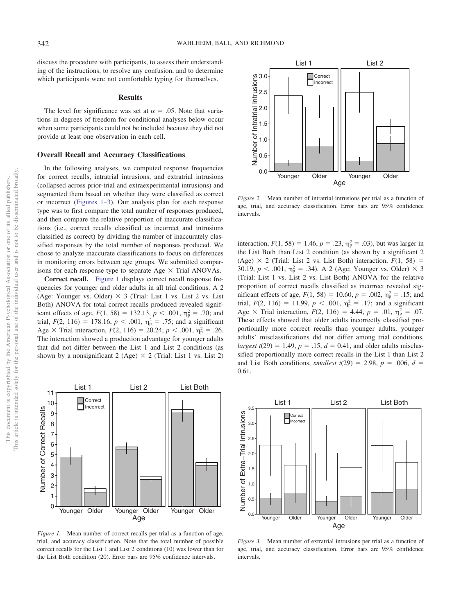discuss the procedure with participants, to assess their understanding of the instructions, to resolve any confusion, and to determine which participants were not comfortable typing for themselves.

#### **Results**

The level for significance was set at  $\alpha = .05$ . Note that variations in degrees of freedom for conditional analyses below occur when some participants could not be included because they did not provide at least one observation in each cell.

#### **Overall Recall and Accuracy Classifications**

In the following analyses, we computed response frequencies for correct recalls, intratrial intrusions, and extratrial intrusions (collapsed across prior-trial and extraexperimental intrusions) and segmented them based on whether they were classified as correct or incorrect (Figures 1–3). Our analysis plan for each response type was to first compare the total number of responses produced, and then compare the relative proportion of inaccurate classifications (i.e., correct recalls classified as incorrect and intrusions classified as correct) by dividing the number of inaccurately classified responses by the total number of responses produced. We chose to analyze inaccurate classifications to focus on differences in monitoring errors between age groups. We submitted comparisons for each response type to separate Age  $\times$  Trial ANOVAs.

**Correct recall.** [Figure 1](#page-4-0) displays correct recall response frequencies for younger and older adults in all trial conditions. A 2 (Age: Younger vs. Older)  $\times$  3 (Trial: List 1 vs. List 2 vs. List Both) ANOVA for total correct recalls produced revealed significant effects of age,  $F(1, 58) = 132.13$ ,  $p < .001$ ,  $\eta_p^2 = .70$ ; and trial,  $F(2, 116) = 178.16$ ,  $p < .001$ ,  $\eta_p^2 = .75$ ; and a significant Age  $\times$  Trial interaction,  $F(2, 116) = 20.24$ ,  $p < .001$ ,  $\eta_p^2 = .26$ . The interaction showed a production advantage for younger adults that did not differ between the List 1 and List 2 conditions (as shown by a nonsignificant 2 (Age)  $\times$  2 (Trial: List 1 vs. List 2)



<span id="page-4-0"></span>*Figure 1.* Mean number of correct recalls per trial as a function of age, trial, and accuracy classification. Note that the total number of possible correct recalls for the List 1 and List 2 conditions (10) was lower than for the List Both condition (20). Error bars are 95% confidence intervals.



<span id="page-4-1"></span>*Figure 2.* Mean number of intratrial intrusions per trial as a function of age, trial, and accuracy classification. Error bars are 95% confidence intervals.

interaction,  $F(1, 58) = 1.46$ ,  $p = .23$ ,  $\eta_p^2 = .03$ ), but was larger in the List Both than List 2 condition (as shown by a significant 2 (Age)  $\times$  2 (Trial: List 2 vs. List Both) interaction,  $F(1, 58) =$ 30.19,  $p < .001$ ,  $\eta_p^2 = .34$ ). A 2 (Age: Younger vs. Older)  $\times$  3 (Trial: List 1 vs. List 2 vs. List Both) ANOVA for the relative proportion of correct recalls classified as incorrect revealed sigmificant effects of age,  $F(1, 58) = 10.60$ ,  $p = .002$ ,  $\eta_p^2 = .15$ ; and trial,  $F(2, 116) = 11.99$ ,  $p < .001$ ,  $\eta_p^2 = .17$ ; and a significant Age  $\times$  Trial interaction,  $F(2, 116) = 4.44$ ,  $p = .01$ ,  $\eta_p^2 = .07$ . These effects showed that older adults incorrectly classified proportionally more correct recalls than younger adults, younger adults' misclassifications did not differ among trial conditions,  $largest t(29) = 1.49, p = .15, d = 0.41, and older adults misclas$ sified proportionally more correct recalls in the List 1 than List 2 and List Both conditions, *smallest*  $t(29) = 2.98$ ,  $p = .006$ ,  $d =$ 0.61.



<span id="page-4-2"></span>*Figure 3.* Mean number of extratrial intrusions per trial as a function of age, trial, and accuracy classification. Error bars are 95% confidence intervals.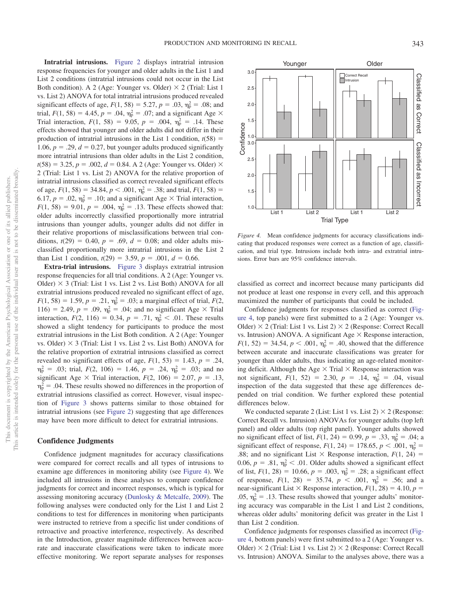**Intratrial intrusions.** [Figure 2](#page-4-1) displays intratrial intrusion response frequencies for younger and older adults in the List 1 and List 2 conditions (intratrial intrusions could not occur in the List Both condition). A 2 (Age: Younger vs. Older)  $\times$  2 (Trial: List 1 vs. List 2) ANOVA for total intratrial intrusions produced revealed significant effects of age,  $F(1, 58) = 5.27$ ,  $p = .03$ ,  $\eta_p^2 = .08$ ; and trial,  $F(1, 58) = 4.45$ ,  $p = .04$ ,  $\eta_p^2 = .07$ ; and a significant Age  $\times$ Trial interaction,  $F(1, 58) = 9.05$ ,  $p = .004$ ,  $\eta_p^2 = .14$ . These effects showed that younger and older adults did not differ in their production of intratrial intrusions in the List 1 condition,  $t(58)$  = 1.06,  $p = 0.29$ ,  $d = 0.27$ , but younger adults produced significantly more intratrial intrusions than older adults in the List 2 condition,  $t(58) = 3.25, p = .002, d = 0.84$ . A 2 (Age: Younger vs. Older)  $\times$ 2 (Trial: List 1 vs. List 2) ANOVA for the relative proportion of intratrial intrusions classified as correct revealed significant effects of age,  $F(1, 58) = 34.84$ ,  $p < .001$ ,  $\eta_p^2 = .38$ ; and trial,  $F(1, 58) =$ 6.17,  $p = .02$ ,  $\eta_p^2 = .10$ ; and a significant Age  $\times$  Trial interaction,  $F(1, 58) = 9.01$ ,  $p = .004$ ,  $\eta_p^2 = .13$ . These effects showed that: older adults incorrectly classified proportionally more intratrial intrusions than younger adults, younger adults did not differ in their relative proportions of misclassifications between trial conditions,  $t(29) = 0.40$ ,  $p = .69$ ,  $d = 0.08$ ; and older adults misclassified proportionally more intratrial intrusions in the List 2 than List 1 condition,  $t(29) = 3.59$ ,  $p = .001$ ,  $d = 0.66$ .

**Extra-trial intrusions.** [Figure 3](#page-4-2) displays extratrial intrusion response frequencies for all trial conditions. A 2 (Age: Younger vs. Older)  $\times$  3 (Trial: List 1 vs. List 2 vs. List Both) ANOVA for all extratrial intrusions produced revealed no significant effect of age,  $F(1, 58) = 1.59, p = .21, \eta_p^2 = .03$ ; a marginal effect of trial,  $F(2, 58) = 1.59$ 116) = 2.49,  $p = .09$ ,  $\eta_p^2 = .04$ ; and no significant Age  $\times$  Trial interaction,  $F(2, 116) = 0.34$ ,  $p = .71$ ,  $\eta_p^2 < .01$ . These results showed a slight tendency for participants to produce the most extratrial intrusions in the List Both condition. A 2 (Age: Younger vs. Older)  $\times$  3 (Trial: List 1 vs. List 2 vs. List Both) ANOVA for the relative proportion of extratrial intrusions classified as correct revealed no significant effects of age,  $F(1, 53) = 1.43$ ,  $p = .24$ ,  $\eta_{\rm p}^2$  = .03; trial, *F*(2, 106) = 1.46, *p* = .24,  $\eta_{\rm p}^2$  = .03; and no significant Age  $\times$  Trial interaction,  $F(2, 106) = 2.07$ ,  $p = .13$ ,  $\eta_{\rm p}^2$  = .04. These results showed no differences in the proportion of extratrial intrusions classified as correct. However, visual inspection of [Figure 3](#page-4-2) shows patterns similar to those obtained for intratrial intrusions (see [Figure 2\)](#page-4-1) suggesting that age differences may have been more difficult to detect for extratrial intrusions.

#### **Confidence Judgments**

Confidence judgment magnitudes for accuracy classifications were compared for correct recalls and all types of intrusions to examine age differences in monitoring ability (see [Figure 4\)](#page-5-0). We included all intrusions in these analyses to compare confidence judgments for correct and incorrect responses, which is typical for assessing monitoring accuracy [\(Dunlosky & Metcalfe, 2009\)](#page-14-15). The following analyses were conducted only for the List 1 and List 2 conditions to test for differences in monitoring when participants were instructed to retrieve from a specific list under conditions of retroactive and proactive interference, respectively. As described in the Introduction, greater magnitude differences between accurate and inaccurate classifications were taken to indicate more effective monitoring. We report separate analyses for responses



<span id="page-5-0"></span>*Figure 4.* Mean confidence judgments for accuracy classifications indicating that produced responses were correct as a function of age, classification, and trial type. Intrusions include both intra- and extratrial intrusions. Error bars are 95% confidence intervals.

classified as correct and incorrect because many participants did not produce at least one response in every cell, and this approach maximized the number of participants that could be included.

Confidence judgments for responses classified as correct [\(Fig](#page-5-0)[ure 4,](#page-5-0) top panels) were first submitted to a 2 (Age: Younger vs. Older)  $\times$  2 (Trial: List 1 vs. List 2)  $\times$  2 (Response: Correct Recall vs. Intrusion) ANOVA. A significant Age  $\times$  Response interaction,  $F(1, 52) = 34.54, p < .001, \eta_p^2 = .40$ , showed that the difference between accurate and inaccurate classifications was greater for younger than older adults, thus indicating an age-related monitoring deficit. Although the Age  $\times$  Trial  $\times$  Response interaction was not significant,  $F(1, 52) = 2.30, p = .14, \eta_p^2 = .04$ , visual inspection of the data suggested that these age differences depended on trial condition. We further explored these potential differences below.

We conducted separate 2 (List: List 1 vs. List 2)  $\times$  2 (Response: Correct Recall vs. Intrusion) ANOVAs for younger adults (top left panel) and older adults (top right panel). Younger adults showed no significant effect of list,  $F(1, 24) = 0.99$ ,  $p = .33$ ,  $\eta_p^2 = .04$ ; a significant effect of response,  $F(1, 24) = 178.65$ ,  $p < .001$ ,  $\eta_p^2 =$ .88; and no significant List  $\times$  Response interaction,  $F(1, 24) =$ 0.06,  $p = .81$ ,  $\eta_p^2 < .01$ . Older adults showed a significant effect of list,  $F(1, 28) = 10.66$ ,  $p = .003$ ,  $\eta_p^2 = .28$ ; a significant effect of response,  $F(1, 28) = 35.74$ ,  $p < .001$ ,  $\eta_p^2 = .56$ ; and a near-significant List  $\times$  Response interaction,  $F(1, 28) = 4.10$ ,  $p =$ .05,  $\eta_p^2 = .13$ . These results showed that younger adults' monitoring accuracy was comparable in the List 1 and List 2 conditions, whereas older adults' monitoring deficit was greater in the List 1 than List 2 condition.

Confidence judgments for responses classified as incorrect [\(Fig](#page-5-0)[ure 4,](#page-5-0) bottom panels) were first submitted to a 2 (Age: Younger vs. Older)  $\times$  2 (Trial: List 1 vs. List 2)  $\times$  2 (Response: Correct Recall vs. Intrusion) ANOVA. Similar to the analyses above, there was a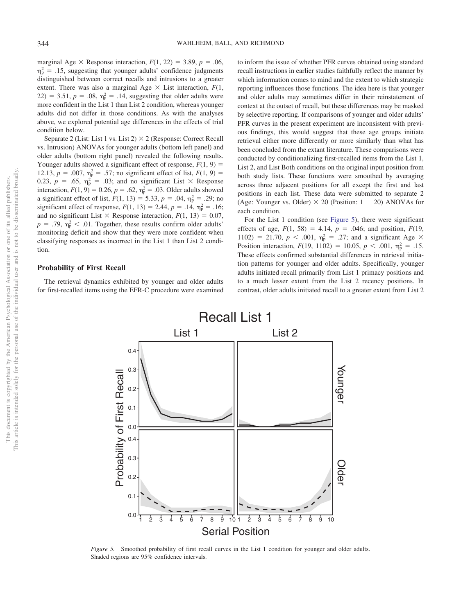marginal Age  $\times$  Response interaction,  $F(1, 22) = 3.89$ ,  $p = .06$ ,  $\eta_{\rm p}^2$  = .15, suggesting that younger adults' confidence judgments distinguished between correct recalls and intrusions to a greater extent. There was also a marginal Age  $\times$  List interaction,  $F(1,$  $22$ ) = 3.51,  $p = .08$ ,  $\eta_p^2 = .14$ , suggesting that older adults were more confident in the List 1 than List 2 condition, whereas younger adults did not differ in those conditions. As with the analyses above, we explored potential age differences in the effects of trial condition below.

Separate 2 (List: List 1 vs. List 2)  $\times$  2 (Response: Correct Recall vs. Intrusion) ANOVAs for younger adults (bottom left panel) and older adults (bottom right panel) revealed the following results. Younger adults showed a significant effect of response,  $F(1, 9) =$ 12.13,  $p = .007$ ,  $\eta_p^2 = .57$ ; no significant effect of list,  $F(1, 9) =$ 0.23,  $p = .65$ ,  $\eta_p^2 = .03$ ; and no significant List  $\times$  Response interaction,  $F(1, 9) = 0.26$ ,  $p = .62$ ,  $\eta_p^2 = .03$ . Older adults showed a significant effect of list,  $F(1, 13) = 5.33$ ,  $p = .04$ ,  $\eta_p^2 = .29$ ; no significant effect of response,  $F(1, 13) = 2.44$ ,  $p = .14$ ,  $\eta_p^2 = .16$ ; and no significant List  $\times$  Response interaction,  $F(1, 13) = 0.07$ ,  $p = .79$ ,  $\eta_p^2 < .01$ . Together, these results confirm older adults' monitoring deficit and show that they were more confident when classifying responses as incorrect in the List 1 than List 2 condition.

### **Probability of First Recall**

The retrieval dynamics exhibited by younger and older adults for first-recalled items using the EFR-C procedure were examined to inform the issue of whether PFR curves obtained using standard recall instructions in earlier studies faithfully reflect the manner by which information comes to mind and the extent to which strategic reporting influences those functions. The idea here is that younger and older adults may sometimes differ in their reinstatement of context at the outset of recall, but these differences may be masked by selective reporting. If comparisons of younger and older adults' PFR curves in the present experiment are inconsistent with previous findings, this would suggest that these age groups initiate retrieval either more differently or more similarly than what has been concluded from the extant literature. These comparisons were conducted by conditionalizing first-recalled items from the List 1, List 2, and List Both conditions on the original input position from both study lists. These functions were smoothed by averaging across three adjacent positions for all except the first and last positions in each list. These data were submitted to separate 2 (Age: Younger vs. Older)  $\times$  20 (Position: 1 – 20) ANOVAs for each condition.

For the List 1 condition (see [Figure 5\)](#page-6-0), there were significant effects of age,  $F(1, 58) = 4.14$ ,  $p = .046$ ; and position,  $F(19, 58) = 4.14$ ,  $p = .046$ ; and position,  $F(19, 58) = 4.14$ 1102) = 21.70,  $p < .001$ ,  $\eta_p^2 = .27$ ; and a significant Age  $\times$ Position interaction,  $F(19, 1102) = 10.05$ ,  $p < .001$ ,  $\eta_p^2 = .15$ . These effects confirmed substantial differences in retrieval initiation patterns for younger and older adults. Specifically, younger adults initiated recall primarily from List 1 primacy positions and to a much lesser extent from the List 2 recency positions. In contrast, older adults initiated recall to a greater extent from List 2



<span id="page-6-0"></span>*Figure 5.* Smoothed probability of first recall curves in the List 1 condition for younger and older adults. Shaded regions are 95% confidence intervals.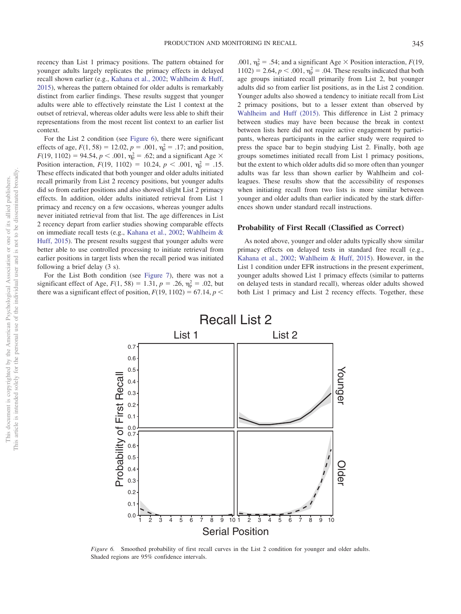recency than List 1 primacy positions. The pattern obtained for younger adults largely replicates the primacy effects in delayed recall shown earlier (e.g., [Kahana et al., 2002;](#page-15-8) [Wahlheim & Huff,](#page-15-2) [2015\)](#page-15-2), whereas the pattern obtained for older adults is remarkably distinct from earlier findings. These results suggest that younger adults were able to effectively reinstate the List 1 context at the outset of retrieval, whereas older adults were less able to shift their representations from the most recent list context to an earlier list context.

For the List 2 condition (see [Figure 6\)](#page-7-0), there were significant effects of age,  $F(1, 58) = 12.02$ ,  $p = .001$ ,  $\eta_p^2 = .17$ ; and position,  $F(19, 1102) = 94.54, p < .001, \eta_{p}^{2} = .62$ ; and a significant Age  $\times$ Position interaction,  $F(19, 1102) = 10.24$ ,  $p < .001$ ,  $\eta_p^2 = .15$ . These effects indicated that both younger and older adults initiated recall primarily from List 2 recency positions, but younger adults did so from earlier positions and also showed slight List 2 primacy effects. In addition, older adults initiated retrieval from List 1 primacy and recency on a few occasions, whereas younger adults never initiated retrieval from that list. The age differences in List 2 recency depart from earlier studies showing comparable effects on immediate recall tests (e.g., [Kahana et al., 2002;](#page-15-8) [Wahlheim &](#page-15-2) [Huff, 2015\)](#page-15-2). The present results suggest that younger adults were better able to use controlled processing to initiate retrieval from earlier positions in target lists when the recall period was initiated following a brief delay (3 s).

For the List Both condition (see [Figure 7\)](#page-8-0), there was not a significant effect of Age,  $F(1, 58) = 1.31$ ,  $p = .26$ ,  $\eta_p^2 = .02$ , but there was a significant effect of position,  $F(19, 1102) = 67.14$ ,  $p <$ 

.001,  $\eta_p^2 = .54$ ; and a significant Age  $\times$  Position interaction, *F*(19,  $1102$ ) = 2.64,  $p < .001$ ,  $\eta_p^2 = .04$ . These results indicated that both age groups initiated recall primarily from List 2, but younger adults did so from earlier list positions, as in the List 2 condition. Younger adults also showed a tendency to initiate recall from List 2 primacy positions, but to a lesser extent than observed by [Wahlheim and Huff \(2015\).](#page-15-2) This difference in List 2 primacy between studies may have been because the break in context between lists here did not require active engagement by participants, whereas participants in the earlier study were required to press the space bar to begin studying List 2. Finally, both age groups sometimes initiated recall from List 1 primacy positions, but the extent to which older adults did so more often than younger adults was far less than shown earlier by Wahlheim and colleagues. These results show that the accessibility of responses when initiating recall from two lists is more similar between younger and older adults than earlier indicated by the stark differences shown under standard recall instructions.

### **Probability of First Recall (Classified as Correct)**

As noted above, younger and older adults typically show similar primacy effects on delayed tests in standard free recall (e.g., [Kahana et al., 2002;](#page-15-8) [Wahlheim & Huff, 2015\)](#page-15-2). However, in the List 1 condition under EFR instructions in the present experiment, younger adults showed List 1 primacy effects (similar to patterns on delayed tests in standard recall), whereas older adults showed both List 1 primacy and List 2 recency effects. Together, these



<span id="page-7-0"></span>*Figure 6.* Smoothed probability of first recall curves in the List 2 condition for younger and older adults. Shaded regions are 95% confidence intervals.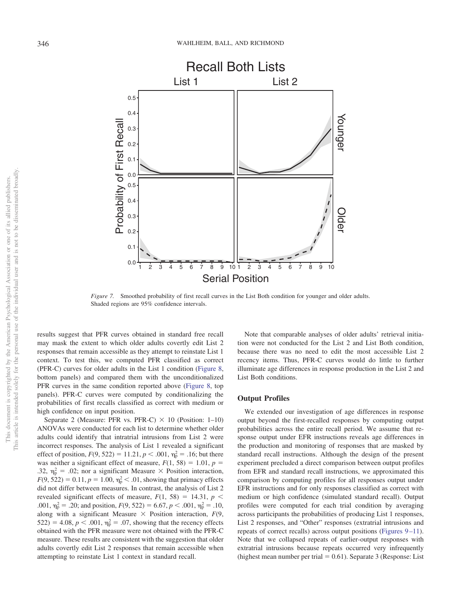

<span id="page-8-0"></span>*Figure 7.* Smoothed probability of first recall curves in the List Both condition for younger and older adults. Shaded regions are 95% confidence intervals.

results suggest that PFR curves obtained in standard free recall may mask the extent to which older adults covertly edit List 2 responses that remain accessible as they attempt to reinstate List 1 context. To test this, we computed PFR classified as correct (PFR-C) curves for older adults in the List 1 condition [\(Figure 8,](#page-9-0) bottom panels) and compared them with the unconditionalized PFR curves in the same condition reported above [\(Figure 8,](#page-9-0) top panels). PFR-C curves were computed by conditionalizing the probabilities of first recalls classified as correct with medium or high confidence on input position.

Separate 2 (Measure: PFR vs. PFR-C)  $\times$  10 (Position: 1–10) ANOVAs were conducted for each list to determine whether older adults could identify that intratrial intrusions from List 2 were incorrect responses. The analysis of List 1 revealed a significant effect of position,  $F(9, 522) = 11.21$ ,  $p < .001$ ,  $\eta_p^2 = .16$ ; but there was neither a significant effect of measure,  $F(1, 58) = 1.01$ ,  $p =$ .32,  $\eta_{\rm p}^2 = .02$ ; nor a significant Measure  $\times$  Position interaction,  $F(9, 522) = 0.11, p = 1.00, \eta_{\rm p}^2 < .01$ , showing that primacy effects did not differ between measures. In contrast, the analysis of List 2 revealed significant effects of measure,  $F(1, 58) = 14.31$ ,  $p <$ .001,  $\eta_p^2 = .20$ ; and position,  $F(9, 522) = 6.67$ ,  $p < .001$ ,  $\eta_p^2 = .10$ , along with a significant Measure  $\times$  Position interaction,  $F(9, 1)$ 522) = 4.08,  $p < .001$ ,  $\eta_{\rm p}^2 = .07$ , showing that the recency effects obtained with the PFR measure were not obtained with the PFR-C measure. These results are consistent with the suggestion that older adults covertly edit List 2 responses that remain accessible when attempting to reinstate List 1 context in standard recall.

Note that comparable analyses of older adults' retrieval initiation were not conducted for the List 2 and List Both condition, because there was no need to edit the most accessible List 2 recency items. Thus, PFR-C curves would do little to further illuminate age differences in response production in the List 2 and List Both conditions.

# **Output Profiles**

We extended our investigation of age differences in response output beyond the first-recalled responses by computing output probabilities across the entire recall period. We assume that response output under EFR instructions reveals age differences in the production and monitoring of responses that are masked by standard recall instructions. Although the design of the present experiment precluded a direct comparison between output profiles from EFR and standard recall instructions, we approximated this comparison by computing profiles for all responses output under EFR instructions and for only responses classified as correct with medium or high confidence (simulated standard recall). Output profiles were computed for each trial condition by averaging across participants the probabilities of producing List 1 responses, List 2 responses, and "Other" responses (extratrial intrusions and repeats of correct recalls) across output positions (Figures 9–11). Note that we collapsed repeats of earlier-output responses with extratrial intrusions because repeats occurred very infrequently (highest mean number per trial  $= 0.61$ ). Separate 3 (Response: List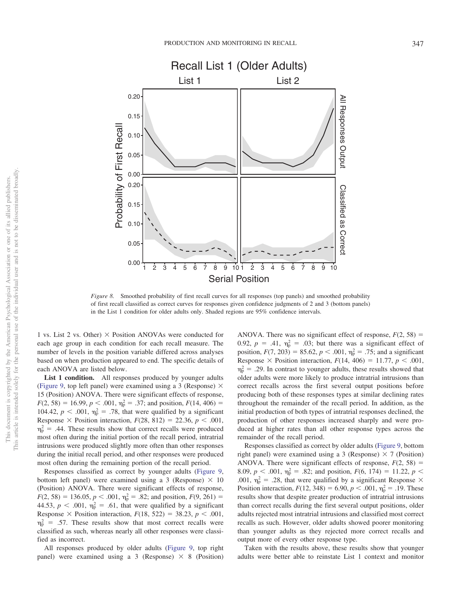

<span id="page-9-0"></span>*Figure 8.* Smoothed probability of first recall curves for all responses (top panels) and smoothed probability of first recall classified as correct curves for responses given confidence judgments of 2 and 3 (bottom panels) in the List 1 condition for older adults only. Shaded regions are 95% confidence intervals.

1 vs. List 2 vs. Other)  $\times$  Position ANOVAs were conducted for each age group in each condition for each recall measure. The number of levels in the position variable differed across analyses based on when production appeared to end. The specific details of each ANOVA are listed below.

List 1 condition. All responses produced by younger adults [\(Figure 9,](#page-10-0) top left panel) were examined using a 3 (Response)  $\times$ 15 (Position) ANOVA. There were significant effects of response,  $F(2, 58) = 16.99, p < .001, \eta_p^2 = .37$ ; and position,  $F(14, 406) =$ 104.42,  $p < .001$ ,  $\eta_p^2 = .78$ , that were qualified by a significant Response  $\times$  Position interaction,  $F(28, 812) = 22.36, p < .001$ ,  $\eta_{\rm p}^2$  = .44. These results show that correct recalls were produced most often during the initial portion of the recall period, intratrial intrusions were produced slightly more often than other responses during the initial recall period, and other responses were produced most often during the remaining portion of the recall period.

Responses classified as correct by younger adults [\(Figure 9,](#page-10-0) bottom left panel) were examined using a 3 (Response)  $\times$  10 (Position) ANOVA. There were significant effects of response,  $F(2, 58) = 136.05, p < .001, \eta_p^2 = .82$ ; and position,  $F(9, 261) =$ 44.53,  $p < .001$ ,  $\eta_p^2 = .61$ , that were qualified by a significant Response  $\times$  Position interaction,  $F(18, 522) = 38.23, p < .001$ ,  $\eta_{\rm p}^2$  = .57. These results show that most correct recalls were classified as such, whereas nearly all other responses were classified as incorrect.

All responses produced by older adults [\(Figure 9,](#page-10-0) top right panel) were examined using a 3 (Response)  $\times$  8 (Position)

ANOVA. There was no significant effect of response,  $F(2, 58) =$ 0.92,  $p = .41$ ,  $\eta_p^2 = .03$ ; but there was a significant effect of position,  $F(7, 203) = 85.62$ ,  $p < .001$ ,  $\eta_p^2 = .75$ ; and a significant Response  $\times$  Position interaction,  $F(14, 406) = 11.77$ ,  $p < .001$ ,  $\eta_{\rm p}^2 = .29$ . In contrast to younger adults, these results showed that older adults were more likely to produce intratrial intrusions than correct recalls across the first several output positions before producing both of these responses types at similar declining rates throughout the remainder of the recall period. In addition, as the initial production of both types of intratrial responses declined, the production of other responses increased sharply and were produced at higher rates than all other response types across the remainder of the recall period.

Responses classified as correct by older adults [\(Figure 9,](#page-10-0) bottom right panel) were examined using a 3 (Response)  $\times$  7 (Position) ANOVA. There were significant effects of response,  $F(2, 58) =$ 8.09,  $p < .001$ ,  $\eta_p^2 = .82$ ; and position,  $F(6, 174) = 11.22$ ,  $p <$ .001,  $\eta_p^2 = .28$ , that were qualified by a significant Response  $\times$ Position interaction,  $F(12, 348) = 6.90, p < .001, \eta_{p}^{2} = .19$ . These results show that despite greater production of intratrial intrusions than correct recalls during the first several output positions, older adults rejected most intratrial intrusions and classified most correct recalls as such. However, older adults showed poorer monitoring than younger adults as they rejected more correct recalls and output more of every other response type.

Taken with the results above, these results show that younger adults were better able to reinstate List 1 context and monitor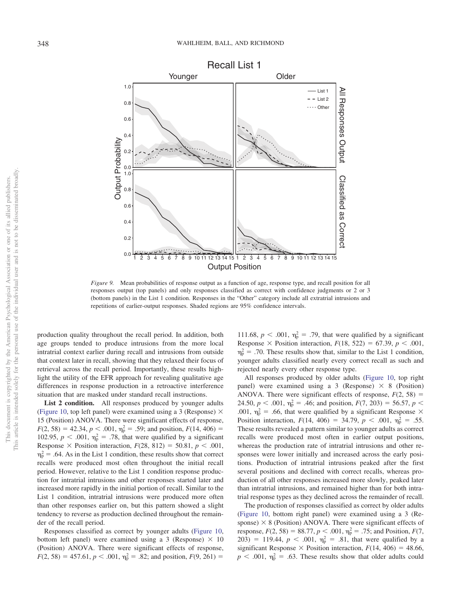

<span id="page-10-0"></span>*Figure 9.* Mean probabilities of response output as a function of age, response type, and recall position for all responses output (top panels) and only responses classified as correct with confidence judgments or 2 or 3 (bottom panels) in the List 1 condition. Responses in the "Other" category include all extratrial intrusions and repetitions of earlier-output responses. Shaded regions are 95% confidence intervals.

production quality throughout the recall period. In addition, both age groups tended to produce intrusions from the more local intratrial context earlier during recall and intrusions from outside that context later in recall, showing that they relaxed their focus of retrieval across the recall period. Importantly, these results highlight the utility of the EFR approach for revealing qualitative age differences in response production in a retroactive interference situation that are masked under standard recall instructions.

List 2 condition. All responses produced by younger adults [\(Figure 10,](#page-11-0) top left panel) were examined using a 3 (Response)  $\times$ 15 (Position) ANOVA. There were significant effects of response,  $F(2, 58) = 42.34, p < .001, \eta_{\rm p}^2 = .59$ ; and position,  $F(14, 406) =$ 102.95,  $p < .001$ ,  $\eta_p^2 = .78$ , that were qualified by a significant Response  $\times$  Position interaction,  $F(28, 812) = 50.81$ ,  $p < .001$ ,  $\eta_{\rm p}^2$  = .64. As in the List 1 condition, these results show that correct recalls were produced most often throughout the initial recall period. However, relative to the List 1 condition response production for intratrial intrusions and other responses started later and increased more rapidly in the initial portion of recall. Similar to the List 1 condition, intratrial intrusions were produced more often than other responses earlier on, but this pattern showed a slight tendency to reverse as production declined throughout the remainder of the recall period.

Responses classified as correct by younger adults [\(Figure 10,](#page-11-0) bottom left panel) were examined using a 3 (Response)  $\times$  10 (Position) ANOVA. There were significant effects of response,  $F(2, 58) = 457.61, p < .001, \eta_p^2 = .82$ ; and position,  $F(9, 261) =$ 

111.68,  $p < .001$ ,  $\eta_p^2 = .79$ , that were qualified by a significant Response  $\times$  Position interaction,  $F(18, 522) = 67.39$ ,  $p < .001$ ,  $\eta_{\rm p}^2$  = .70. These results show that, similar to the List 1 condition, younger adults classified nearly every correct recall as such and rejected nearly every other response type.

All responses produced by older adults [\(Figure 10,](#page-11-0) top right panel) were examined using a 3 (Response)  $\times$  8 (Position) ANOVA. There were significant effects of response,  $F(2, 58) =$ 24.50,  $p < .001$ ,  $\eta_p^2 = .46$ ; and position,  $F(7, 203) = 56.57$ ,  $p <$ .001,  $\eta_p^2$  = .66, that were qualified by a significant Response  $\times$ Position interaction,  $F(14, 406) = 34.79$ ,  $p < .001$ ,  $\eta_p^2 = .55$ . These results revealed a pattern similar to younger adults as correct recalls were produced most often in earlier output positions, whereas the production rate of intratrial intrusions and other responses were lower initially and increased across the early positions. Production of intratrial intrusions peaked after the first several positions and declined with correct recalls, whereas production of all other responses increased more slowly, peaked later than intratrial intrusions, and remained higher than for both intratrial response types as they declined across the remainder of recall.

The production of responses classified as correct by older adults [\(Figure 10,](#page-11-0) bottom right panel) were examined using a 3 (Response)  $\times$  8 (Position) ANOVA. There were significant effects of response,  $F(2, 58) = 88.77$ ,  $p < .001$ ,  $\eta_p^2 = .75$ ; and Position,  $F(7, 58) = .001$  $203) = 119.44, p < .001, \eta_p^2 = .81$ , that were qualified by a significant Response  $\times$  Position interaction,  $F(14, 406) = 48.66$ ,  $p < .001$ ,  $\eta_p^2 = .63$ . These results show that older adults could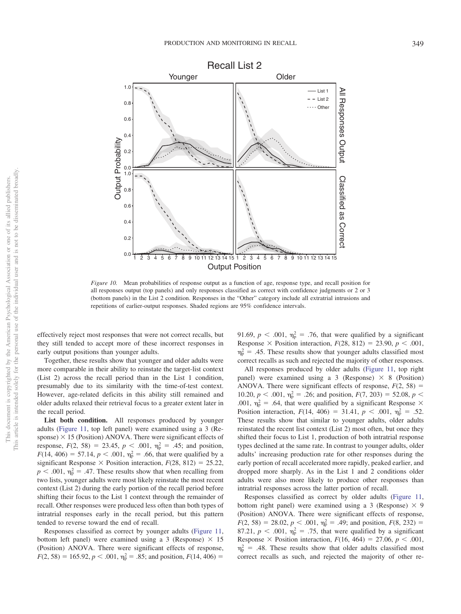

<span id="page-11-0"></span>*Figure 10.* Mean probabilities of response output as a function of age, response type, and recall position for all responses output (top panels) and only responses classified as correct with confidence judgments or 2 or 3 (bottom panels) in the List 2 condition. Responses in the "Other" category include all extratrial intrusions and repetitions of earlier-output responses. Shaded regions are 95% confidence intervals.

effectively reject most responses that were not correct recalls, but they still tended to accept more of these incorrect responses in early output positions than younger adults.

Together, these results show that younger and older adults were more comparable in their ability to reinstate the target-list context (List 2) across the recall period than in the List 1 condition, presumably due to its similarity with the time-of-test context. However, age-related deficits in this ability still remained and older adults relaxed their retrieval focus to a greater extent later in the recall period.

List both condition. All responses produced by younger adults [\(Figure 11,](#page-12-0) top left panel) were examined using a 3 (Response)  $\times$  15 (Position) ANOVA. There were significant effects of response,  $F(2, 58) = 23.45$ ,  $p < .001$ ,  $\eta_p^2 = .45$ ; and position,  $F(14, 406) = 57.14, p < .001, \eta_p^2 = .66$ , that were qualified by a significant Response  $\times$  Position interaction,  $F(28, 812) = 25.22$ ,  $p < .001$ ,  $\eta_p^2 = .47$ . These results show that when recalling from two lists, younger adults were most likely reinstate the most recent context (List 2) during the early portion of the recall period before shifting their focus to the List 1 context through the remainder of recall. Other responses were produced less often than both types of intratrial responses early in the recall period, but this pattern tended to reverse toward the end of recall.

Responses classified as correct by younger adults [\(Figure 11,](#page-12-0) bottom left panel) were examined using a 3 (Response)  $\times$  15 (Position) ANOVA. There were significant effects of response,  $F(2, 58) = 165.92, p < .001, \eta_p^2 = .85$ ; and position,  $F(14, 406) =$ 

91.69,  $p < .001$ ,  $\eta_p^2 = .76$ , that were qualified by a significant Response  $\times$  Position interaction,  $F(28, 812) = 23.90, p < .001$ ,  $\eta_{\rm p}^2$  = .45. These results show that younger adults classified most correct recalls as such and rejected the majority of other responses.

All responses produced by older adults [\(Figure 11,](#page-12-0) top right panel) were examined using a 3 (Response)  $\times$  8 (Position) ANOVA. There were significant effects of response,  $F(2, 58) =$ 10.20,  $p < .001$ ,  $\eta_p^2 = .26$ ; and position,  $F(7, 203) = 52.08$ ,  $p <$ .001,  $\eta_p^2$  = .64, that were qualified by a significant Response  $\times$ Position interaction,  $F(14, 406) = 31.41$ ,  $p < .001$ ,  $\eta_p^2 = .52$ . These results show that similar to younger adults, older adults reinstated the recent list context (List 2) most often, but once they shifted their focus to List 1, production of both intratrial response types declined at the same rate. In contrast to younger adults, older adults' increasing production rate for other responses during the early portion of recall accelerated more rapidly, peaked earlier, and dropped more sharply. As in the List 1 and 2 conditions older adults were also more likely to produce other responses than intratrial responses across the latter portion of recall.

Responses classified as correct by older adults [\(Figure 11,](#page-12-0) bottom right panel) were examined using a 3 (Response)  $\times$  9 (Position) ANOVA. There were significant effects of response,  $F(2, 58) = 28.02, p < .001, \eta_p^2 = .49$ ; and position,  $F(8, 232) =$ 87.21,  $p < .001$ ,  $\eta_p^2 = .75$ , that were qualified by a significant Response  $\times$  Position interaction,  $F(16, 464) = 27.06$ ,  $p < .001$ ,  $\eta_{\rm p}^2$  = .48. These results show that older adults classified most correct recalls as such, and rejected the majority of other re-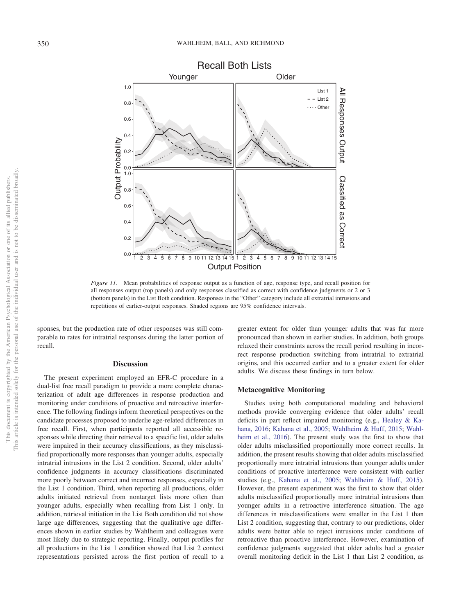

<span id="page-12-0"></span>*Figure 11.* Mean probabilities of response output as a function of age, response type, and recall position for all responses output (top panels) and only responses classified as correct with confidence judgments or 2 or 3 (bottom panels) in the List Both condition. Responses in the "Other" category include all extratrial intrusions and repetitions of earlier-output responses. Shaded regions are 95% confidence intervals.

sponses, but the production rate of other responses was still comparable to rates for intratrial responses during the latter portion of recall.

#### **Discussion**

The present experiment employed an EFR-C procedure in a dual-list free recall paradigm to provide a more complete characterization of adult age differences in response production and monitoring under conditions of proactive and retroactive interference. The following findings inform theoretical perspectives on the candidate processes proposed to underlie age-related differences in free recall. First, when participants reported all accessible responses while directing their retrieval to a specific list, older adults were impaired in their accuracy classifications, as they misclassified proportionally more responses than younger adults, especially intratrial intrusions in the List 2 condition. Second, older adults' confidence judgments in accuracy classifications discriminated more poorly between correct and incorrect responses, especially in the List 1 condition. Third, when reporting all productions, older adults initiated retrieval from nontarget lists more often than younger adults, especially when recalling from List 1 only. In addition, retrieval initiation in the List Both condition did not show large age differences, suggesting that the qualitative age differences shown in earlier studies by Wahlheim and colleagues were most likely due to strategic reporting. Finally, output profiles for all productions in the List 1 condition showed that List 2 context representations persisted across the first portion of recall to a

greater extent for older than younger adults that was far more pronounced than shown in earlier studies. In addition, both groups relaxed their constraints across the recall period resulting in incorrect response production switching from intratrial to extratrial origins, and this occurred earlier and to a greater extent for older adults. We discuss these findings in turn below.

### **Metacognitive Monitoring**

Studies using both computational modeling and behavioral methods provide converging evidence that older adults' recall deficits in part reflect impaired monitoring (e.g., [Healey & Ka](#page-14-2)[hana, 2016;](#page-14-2) [Kahana et al., 2005;](#page-15-7) [Wahlheim & Huff, 2015;](#page-15-2) [Wahl](#page-15-3)[heim et al., 2016\)](#page-15-3). The present study was the first to show that older adults misclassified proportionally more correct recalls. In addition, the present results showing that older adults misclassified proportionally more intratrial intrusions than younger adults under conditions of proactive interference were consistent with earlier studies (e.g., [Kahana et al., 2005;](#page-15-7) [Wahlheim & Huff, 2015\)](#page-15-2). However, the present experiment was the first to show that older adults misclassified proportionally more intratrial intrusions than younger adults in a retroactive interference situation. The age differences in misclassifications were smaller in the List 1 than List 2 condition, suggesting that, contrary to our predictions, older adults were better able to reject intrusions under conditions of retroactive than proactive interference. However, examination of confidence judgments suggested that older adults had a greater overall monitoring deficit in the List 1 than List 2 condition, as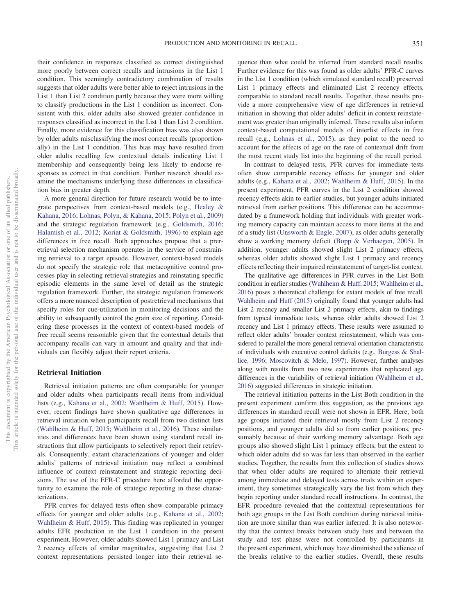their confidence in responses classified as correct distinguished more poorly between correct recalls and intrusions in the List 1 condition. This seemingly contradictory combination of results suggests that older adults were better able to reject intrusions in the List 1 than List 2 condition partly because they were more willing to classify productions in the List 1 condition as incorrect. Consistent with this, older adults also showed greater confidence in responses classified as incorrect in the List 1 than List 2 condition. Finally, more evidence for this classification bias was also shown by older adults misclassifying the most correct recalls (proportionally) in the List 1 condition. This bias may have resulted from older adults recalling few contextual details indicating List 1 membership and consequently being less likely to endorse responses as correct in that condition. Further research should examine the mechanisms underlying these differences in classification bias in greater depth.

A more general direction for future research would be to integrate perspectives from context-based models (e.g., [Healey &](#page-14-2) [Kahana, 2016;](#page-14-2) [Lohnas, Polyn, & Kahana, 2015;](#page-15-31) [Polyn et al., 2009\)](#page-15-29) and the strategic regulation framework (e.g., [Goldsmith, 2016;](#page-14-3) [Halamish et al., 2012;](#page-14-13) [Koriat & Goldsmith, 1996\)](#page-15-4) to explain age differences in free recall. Both approaches propose that a preretrieval selection mechanism operates in the service of constraining retrieval to a target episode. However, context-based models do not specify the strategic role that metacognitive control processes play in selecting retrieval strategies and reinstating specific episodic elements in the same level of detail as the strategic regulation framework. Further, the strategic regulation framework offers a more nuanced description of postretrieval mechanisms that specify roles for cue-utilization in monitoring decisions and the ability to subsequently control the grain size of reporting. Considering these processes in the context of context-based models of free recall seems reasonable given that the contextual details that accompany recalls can vary in amount and quality and that individuals can flexibly adjust their report criteria.

# **Retrieval Initiation**

Retrieval initiation patterns are often comparable for younger and older adults when participants recall items from individual lists (e.g., [Kahana et al., 2002;](#page-15-8) [Wahlheim & Huff, 2015\)](#page-15-2). However, recent findings have shown qualitative age differences in retrieval initiation when participants recall from two distinct lists [\(Wahlheim & Huff, 2015;](#page-15-2) [Wahlheim et al., 2016\)](#page-15-3). These similarities and differences have been shown using standard recall instructions that allow participants to selectively report their retrievals. Consequently, extant characterizations of younger and older adults' patterns of retrieval initiation may reflect a combined influence of context reinstatement and strategic reporting decisions. The use of the EFR-C procedure here afforded the opportunity to examine the role of strategic reporting in these characterizations.

PFR curves for delayed tests often show comparable primacy effects for younger and older adults (e.g., [Kahana et al., 2002;](#page-15-8) [Wahlheim & Huff, 2015\)](#page-15-2). This finding was replicated in younger adults EFR production in the List 1 condition in the present experiment. However, older adults showed List 1 primacy and List 2 recency effects of similar magnitudes, suggesting that List 2 context representations persisted longer into their retrieval sequence than what could be inferred from standard recall results. Further evidence for this was found as older adults' PFR-C curves in the List 1 condition (which simulated standard recall) preserved List 1 primacy effects and eliminated List 2 recency effects, comparable to standard recall results. Together, these results provide a more comprehensive view of age differences in retrieval initiation in showing that older adults' deficit in context reinstatement was greater than originally inferred. These results also inform context-based computational models of interlist effects in free recall (e.g., [Lohnas et al., 2015\)](#page-15-31), as they point to the need to account for the effects of age on the rate of contextual drift from the most recent study list into the beginning of the recall period.

In contrast to delayed tests, PFR curves for immediate tests often show comparable recency effects for younger and older adults (e.g., [Kahana et al., 2002;](#page-15-8) [Wahlheim & Huff, 2015\)](#page-15-2). In the present experiment, PFR curves in the List 2 condition showed recency effects akin to earlier studies, but younger adults initiated retrieval from earlier positions. This difference can be accommodated by a framework holding that individuals with greater working memory capacity can maintain access to more items at the end of a study list [\(Unsworth & Engle, 2007\)](#page-15-32), as older adults generally show a working memory deficit [\(Bopp & Verhaegen, 2005\)](#page-14-16). In addition, younger adults showed slight List 2 primacy effects, whereas older adults showed slight List 1 primacy and recency effects reflecting their impaired reinstatement of target-list context.

The qualitative age differences in PFR curves in the List Both condition in earlier studies [\(Wahlheim & Huff, 2015;](#page-15-2) [Wahlheim et al.,](#page-15-3) [2016\)](#page-15-3) poses a theoretical challenge for extant models of free recall. [Wahlheim and Huff \(2015\)](#page-15-2) originally found that younger adults had List 2 recency and smaller List 2 primacy effects, akin to findings from typical immediate tests, whereas older adults showed List 2 recency and List 1 primacy effects. These results were assumed to reflect older adults' broader context reinstatement, which was considered to parallel the more general retrieval orientation characteristic of individuals with executive control deficits (e.g., [Burgess & Shal](#page-14-12)[lice, 1996;](#page-14-12) [Moscovitch & Melo, 1997\)](#page-15-25). However, further analyses along with results from two new experiments that replicated age differences in the variability of retrieval initiation [\(Wahlheim et al.,](#page-15-3) [2016\)](#page-15-3) suggested differences in strategic initiation.

The retrieval initiation patterns in the List Both condition in the present experiment confirm this suggestion, as the previous age differences in standard recall were not shown in EFR. Here, both age groups initiated their retrieval mostly from List 2 recency positions, and younger adults did so from earlier positions, presumably because of their working memory advantage. Both age groups also showed slight List 1 primacy effects, but the extent to which older adults did so was far less than observed in the earlier studies. Together, the results from this collection of studies shows that when older adults are required to alternate their retrieval among immediate and delayed tests across trials within an experiment, they sometimes strategically vary the list from which they begin reporting under standard recall instructions. In contrast, the EFR procedure revealed that the contextual representations for both age groups in the List Both condition during retrieval initiation are more similar than was earlier inferred. It is also noteworthy that the context breaks between study lists and between the study and test phase were not controlled by participants in the present experiment, which may have diminished the salience of the breaks relative to the earlier studies. Overall, these results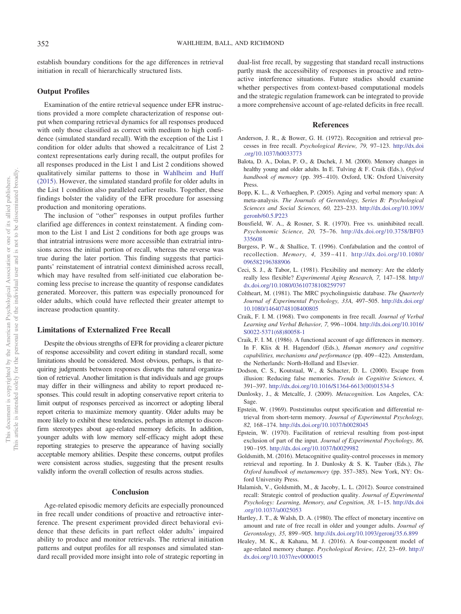establish boundary conditions for the age differences in retrieval initiation in recall of hierarchically structured lists.

## **Output Profiles**

Examination of the entire retrieval sequence under EFR instructions provided a more complete characterization of response output when comparing retrieval dynamics for all responses produced with only those classified as correct with medium to high confidence (simulated standard recall). With the exception of the List 1 condition for older adults that showed a recalcitrance of List 2 context representations early during recall, the output profiles for all responses produced in the List 1 and List 2 conditions showed qualitatively similar patterns to those in [Wahlheim and Huff](#page-15-2) [\(2015\).](#page-15-2) However, the simulated standard profile for older adults in the List 1 condition also paralleled earlier results. Together, these findings bolster the validity of the EFR procedure for assessing production and monitoring operations.

The inclusion of "other" responses in output profiles further clarified age differences in context reinstatement. A finding common to the List 1 and List 2 conditions for both age groups was that intratrial intrusions were more accessible than extratrial intrusions across the initial portion of recall, whereas the reverse was true during the later portion. This finding suggests that participants' reinstatement of intratrial context diminished across recall, which may have resulted from self-initiated cue elaboration becoming less precise to increase the quantity of response candidates generated. Moreover, this pattern was especially pronounced for older adults, which could have reflected their greater attempt to increase production quantity.

#### **Limitations of Externalized Free Recall**

Despite the obvious strengths of EFR for providing a clearer picture of response accessibility and covert editing in standard recall, some limitations should be considered. Most obvious, perhaps, is that requiring judgments between responses disrupts the natural organization of retrieval. Another limitation is that individuals and age groups may differ in their willingness and ability to report produced responses. This could result in adopting conservative report criteria to limit output of responses perceived as incorrect or adopting liberal report criteria to maximize memory quantity. Older adults may be more likely to exhibit these tendencies, perhaps in attempt to disconfirm stereotypes about age-related memory deficits. In addition, younger adults with low memory self-efficacy might adopt these reporting strategies to preserve the appearance of having socially acceptable memory abilities. Despite these concerns, output profiles were consistent across studies, suggesting that the present results validly inform the overall collection of results across studies.

#### **Conclusion**

Age-related episodic memory deficits are especially pronounced in free recall under conditions of proactive and retroactive interference. The present experiment provided direct behavioral evidence that these deficits in part reflect older adults' impaired ability to produce and monitor retrievals. The retrieval initiation patterns and output profiles for all responses and simulated standard recall provided more insight into role of strategic reporting in dual-list free recall, by suggesting that standard recall instructions partly mask the accessibility of responses in proactive and retroactive interference situations. Future studies should examine whether perspectives from context-based computational models and the strategic regulation framework can be integrated to provide a more comprehensive account of age-related deficits in free recall.

## **References**

- <span id="page-14-10"></span>Anderson, J. R., & Bower, G. H. (1972). Recognition and retrieval processes in free recall. *Psychological Review, 79,* 97–123. [http://dx.doi](http://dx.doi.org/10.1037/h0033773) [.org/10.1037/h0033773](http://dx.doi.org/10.1037/h0033773)
- <span id="page-14-0"></span>Balota, D. A., Dolan, P. O., & Duchek, J. M. (2000). Memory changes in healthy young and older adults. In E. Tulving & F. Craik (Eds.), *Oxford* handbook of memory (pp. 395-410). Oxford, UK: Oxford University Press.
- <span id="page-14-16"></span>Bopp, K. L., & Verhaeghen, P. (2005). Aging and verbal memory span: A meta-analysis. *The Journals of Gerontology, Series B: Psychological Sciences and Social Sciences, 60,* 223–233. [http://dx.doi.org/10.1093/](http://dx.doi.org/10.1093/geronb/60.5.P223) [geronb/60.5.P223](http://dx.doi.org/10.1093/geronb/60.5.P223)
- <span id="page-14-11"></span>Bousfield, W. A., & Rosner, S. R. (1970). Free vs. uninhibited recall. *Psychonomic Science, 20,* 75–76. [http://dx.doi.org/10.3758/BF03](http://dx.doi.org/10.3758/BF03335608) [335608](http://dx.doi.org/10.3758/BF03335608)
- <span id="page-14-12"></span>Burgess, P. W., & Shallice, T. (1996). Confabulation and the control of recollection. *Memory, 4,* 359 – 411. [http://dx.doi.org/10.1080/](http://dx.doi.org/10.1080/096582196388906) [096582196388906](http://dx.doi.org/10.1080/096582196388906)
- <span id="page-14-4"></span>Ceci, S. J., & Tabor, L. (1981). Flexibility and memory: Are the elderly really less flexible? *Experimental Aging Research, 7,* 147–158. [http://](http://dx.doi.org/10.1080/03610738108259797) [dx.doi.org/10.1080/03610738108259797](http://dx.doi.org/10.1080/03610738108259797)
- <span id="page-14-14"></span>Coltheart, M. (1981). The MRC psycholinguistic database. *The Quarterly Journal of Experimental Psychology, 33A,* 497–505. [http://dx.doi.org/](http://dx.doi.org/10.1080/14640748108400805) [10.1080/14640748108400805](http://dx.doi.org/10.1080/14640748108400805)
- <span id="page-14-5"></span>Craik, F. I. M. (1968). Two components in free recall. *Journal of Verbal Learning and Verbal Behavior, 7,* 996 –1004. [http://dx.doi.org/10.1016/](http://dx.doi.org/10.1016/S0022-5371%2868%2980058-1) [S0022-5371\(68\)80058-1](http://dx.doi.org/10.1016/S0022-5371%2868%2980058-1)
- <span id="page-14-1"></span>Craik, F. I. M. (1986). A functional account of age differences in memory. In F. Klix & H. Hagendorf (Eds.), *Human memory and cognitive capabilities, mechanisms and performance* (pp. 409 – 422). Amsterdam, the Netherlands: North-Holland and Elsevier.
- <span id="page-14-9"></span>Dodson, C. S., Koutstaal, W., & Schacter, D. L. (2000). Escape from illusion: Reducing false memories. *Trends in Cognitive Sciences, 4,* 391–397. [http://dx.doi.org/10.1016/S1364-6613\(00\)01534-5](http://dx.doi.org/10.1016/S1364-6613%2800%2901534-5)
- <span id="page-14-15"></span>Dunlosky, J., & Metcalfe, J. (2009). *Metacognition*. Los Angeles, CA: Sage.
- <span id="page-14-7"></span>Epstein, W. (1969). Poststimulus output specification and differential retrieval from short-term memory. *Journal of Experimental Psychology, 82,* 168 –174. <http://dx.doi.org/10.1037/h0028045>
- <span id="page-14-8"></span>Epstein, W. (1970). Facilitation of retrieval resulting from post-input exclusion of part of the input. *Journal of Experimental Psychology, 86,* 190 –195. <http://dx.doi.org/10.1037/h0029982>
- <span id="page-14-3"></span>Goldsmith, M. (2016). Metacognitive quality-control processes in memory retrieval and reporting. In J. Dunlosky & S. K. Tauber (Eds.), *The Oxford handbook of metamemory* (pp. 357–385). New York, NY: Oxford University Press.
- <span id="page-14-13"></span>Halamish, V., Goldsmith, M., & Jacoby, L. L. (2012). Source constrained recall: Strategic control of production quality. *Journal of Experimental Psychology: Learning, Memory, and Cognition, 38,* 1–15. [http://dx.doi](http://dx.doi.org/10.1037/a0025053) [.org/10.1037/a0025053](http://dx.doi.org/10.1037/a0025053)
- <span id="page-14-6"></span>Hartley, J. T., & Walsh, D. A. (1980). The effect of monetary incentive on amount and rate of free recall in older and younger adults. *Journal of Gerontology, 35,* 899 –905. <http://dx.doi.org/10.1093/geronj/35.6.899>
- <span id="page-14-2"></span>Healey, M. K., & Kahana, M. J. (2016). A four-component model of age-related memory change. *Psychological Review, 123,* 23– 69. [http://](http://dx.doi.org/10.1037/rev0000015) [dx.doi.org/10.1037/rev0000015](http://dx.doi.org/10.1037/rev0000015)